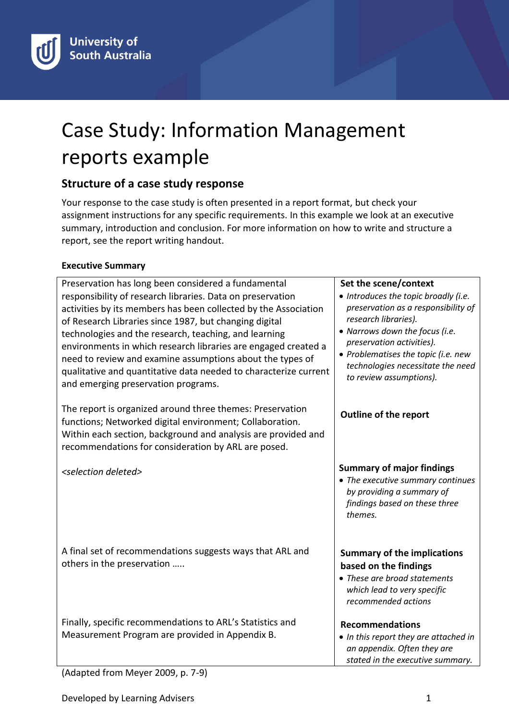# Case Study: Information Management reports example

# **Structure of a case study response**

Your response to the case study is often presented in a report format, but check your assignment instructions for any specific requirements. In this example we look at an executive summary, introduction and conclusion. For more information on how to write and structure a report, see the report writing handout.

## **Executive Summary**

Preservation has long been considered a fundamental responsibility of research libraries. Data on preservation activities by its members has been collected by the Association of Research Libraries since 1987, but changing digital technologies and the research, teaching, and learning environments in which research libraries are engaged created a need to review and examine assumptions about the types of qualitative and quantitative data needed to characterize current and emerging preservation programs.

The report is organized around three themes: Preservation functions; Networked digital environment; Collaboration. Within each section, background and analysis are provided and recommendations for consideration by ARL are posed.

*<selection deleted>*

A final set of recommendations suggests ways that ARL and others in the preservation …..

Finally, specific recommendations to ARL's Statistics and Measurement Program are provided in Appendix B.

#### **Set the scene/context**

- *Introduces the topic broadly (i.e. preservation as a responsibility of research libraries).*
- *Narrows down the focus (i.e. preservation activities).*
- *Problematises the topic (i.e. new technologies necessitate the need to review assumptions).*

## **Outline of the report**

## **Summary of major findings**

 *The executive summary continues by providing a summary of findings based on these three themes.*

## **Summary of the implications based on the findings**

 *These are broad statements which lead to very specific recommended actions* 

#### **Recommendations**

 *In this report they are attached in an appendix. Often they are stated in the executive summary.*

(Adapted from Meyer 2009, p. 7-9)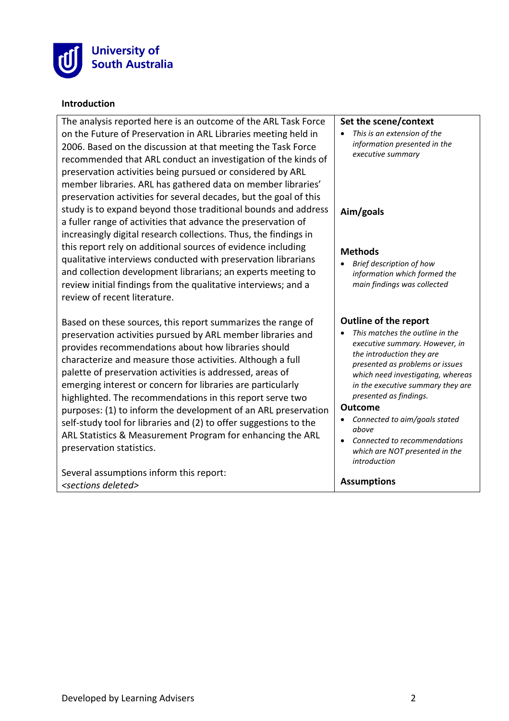

#### **Introduction**

The analysis reported here is an outcome of the ARL Task Force on the Future of Preservation in ARL Libraries meeting held in 2006. Based on the discussion at that meeting the Task Force recommended that ARL conduct an investigation of the kinds of preservation activities being pursued or considered by ARL member libraries. ARL has gathered data on member libraries' preservation activities for several decades, but the goal of this study is to expand beyond those traditional bounds and address a fuller range of activities that advance the preservation of increasingly digital research collections. Thus, the findings in this report rely on additional sources of evidence including qualitative interviews conducted with preservation librarians and collection development librarians; an experts meeting to review initial findings from the qualitative interviews; and a review of recent literature.

Based on these sources, this report summarizes the range of preservation activities pursued by ARL member libraries and provides recommendations about how libraries should characterize and measure those activities. Although a full palette of preservation activities is addressed, areas of emerging interest or concern for libraries are particularly highlighted. The recommendations in this report serve two purposes: (1) to inform the development of an ARL preservation self-study tool for libraries and (2) to offer suggestions to the ARL Statistics & Measurement Program for enhancing the ARL preservation statistics.

Several assumptions inform this report: *<sections deleted>*

#### **Set the scene/context**

 *This is an extension of the information presented in the executive summary*

#### **Aim/goals**

#### **Methods**

 *Brief description of how information which formed the main findings was collected*

#### **Outline of the report**

 *This matches the outline in the executive summary. However, in the introduction they are presented as problems or issues which need investigating, whereas in the executive summary they are presented as findings.*

#### **Outcome**

- *Connected to aim/goals stated above*
- *Connected to recommendations which are NOT presented in the introduction*

#### **Assumptions**